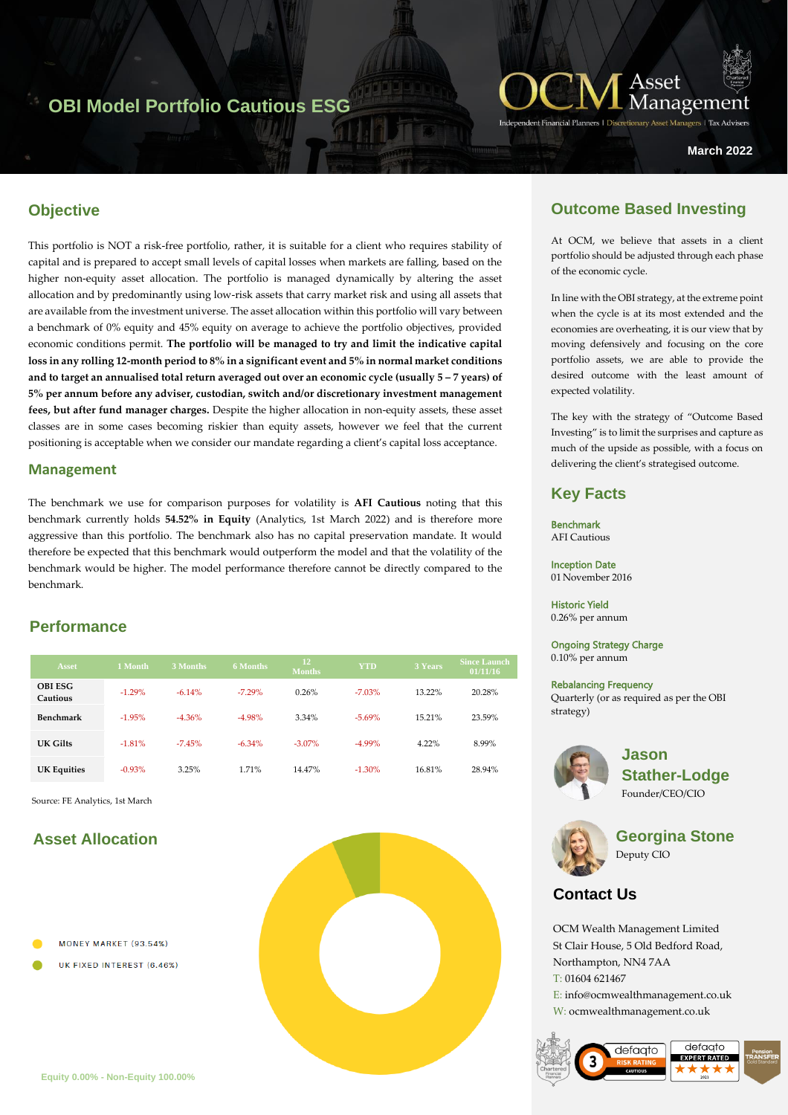# **OBI Model Portfolio Cautious ESG**



**March 2022**

## **Objective**

h<br>heytet This portfolio is NOT a risk-free portfolio, rather, it is suitable for a client who requires stability of capital and is prepared to accept small levels of capital losses when markets are falling, based on the higher non-equity asset allocation. The portfolio is managed dynamically by altering the asset allocation and by predominantly using low-risk assets that carry market risk and using all assets that are available from the investment universe. The asset allocation within this portfolio will vary between a benchmark of 0% equity and 45% equity on average to achieve the portfolio objectives, provided economic conditions permit. **The portfolio will be managed to try and limit the indicative capital loss in any rolling 12-month period to 8% in a significant event and 5% in normal market conditions and to target an annualised total return averaged out over an economic cycle (usually 5 – 7 years) of 5% per annum before any adviser, custodian, switch and/or discretionary investment management fees, but after fund manager charges.** Despite the higher allocation in non-equity assets, these asset classes are in some cases becoming riskier than equity assets, however we feel that the current positioning is acceptable when we consider our mandate regarding a client's capital loss acceptance.

#### **Management**

The benchmark we use for comparison purposes for volatility is **AFI Cautious** noting that this benchmark currently holds **54.52% in Equity** (Analytics, 1st March 2022) and is therefore more aggressive than this portfolio. The benchmark also has no capital preservation mandate. It would therefore be expected that this benchmark would outperform the model and that the volatility of the benchmark would be higher. The model performance therefore cannot be directly compared to the benchmark.

### **Performance**

| <b>Asset</b>               | 1 Month  | 3 Months | <b>6 Months</b> | <b>12</b><br><b>Months</b> | <b>YTD</b> | 3 Years  | <b>Since Launch</b><br>01/11/16 |
|----------------------------|----------|----------|-----------------|----------------------------|------------|----------|---------------------------------|
| <b>OBI ESG</b><br>Cautious | $-1.29%$ | $-6.14%$ | $-7.29%$        | 0.26%                      | $-7.03%$   | 13.22%   | 20.28%                          |
| <b>Benchmark</b>           | $-1.95%$ | $-4.36%$ | $-4.98%$        | 3.34%                      | $-5.69%$   | 15.21%   | 23.59%                          |
| UK Gilts                   | $-1.81%$ | $-7.45%$ | $-6.34\%$       | $-3.07\%$                  | $-4.99\%$  | $4.22\%$ | 8.99%                           |
| <b>UK Equities</b>         | $-0.93%$ | 3.25%    | 1.71%           | 14.47%                     | $-1.30%$   | 16.81%   | 28.94%                          |

Source: FE Analytics, 1st March

# **Asset Allocation**

- MONEY MARKET (93.54%)
- UK FIXED INTEREST (6.46%)



# **Outcome Based Investing**

At OCM, we believe that assets in a client portfolio should be adjusted through each phase of the economic cycle.

In line with the OBI strategy, at the extreme point when the cycle is at its most extended and the economies are overheating, it is our view that by moving defensively and focusing on the core portfolio assets, we are able to provide the desired outcome with the least amount of expected volatility.

The key with the strategy of "Outcome Based Investing" is to limit the surprises and capture as much of the upside as possible, with a focus on delivering the client's strategised outcome.

## **Key Facts**

Benchmark AFI Cautious

Inception Date 01 November 2016

Historic Yield 0.26% per annum

Ongoing Strategy Charge

0.10% per annum

#### Rebalancing Frequency

Quarterly (or as required as per the OBI strategy)



**Jason Stather-Lodge** Founder/CEO/CIO



**Georgina Stone** Deputy CIO

# **Contact Us**

OCM Wealth Management Limited St Clair House, 5 Old Bedford Road, Northampton, NN4 7AA T: 01604 621467 E: info@ocmwealthmanagement.co.uk W: ocmwealthmanagement.co.uk